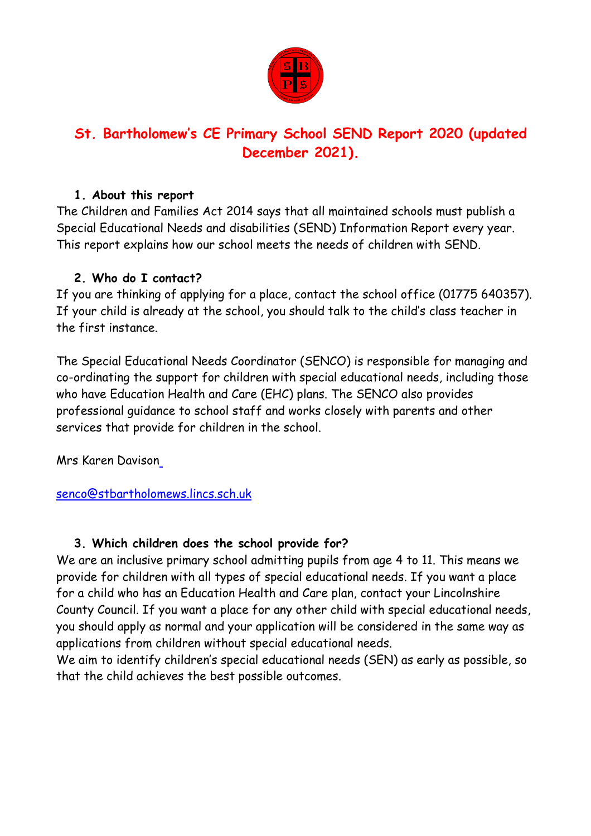

# **St. Bartholomew's CE Primary School SEND Report 2020 (updated December 2021).**

### **1. About this report**

The Children and Families Act 2014 says that all maintained schools must publish a Special Educational Needs and disabilities (SEND) Information Report every year. This report explains how our school meets the needs of children with SEND.

# **2. Who do I contact?**

If you are thinking of applying for a place, contact the school office (01775 640357). If your child is already at the school, you should talk to the child's class teacher in the first instance.

The Special Educational Needs Coordinator (SENCO) is responsible for managing and co-ordinating the support for children with special educational needs, including those who have Education Health and Care (EHC) plans. The SENCO also provides professional guidance to school staff and works closely with parents and other services that provide for children in the school.

Mrs Karen Daviso[n](mailto:%20senco@stbartholomews.lincs.sch.uk)

[senco@stbartholomews.lincs.sch.uk](mailto:%20senco@stbartholomews.lincs.sch.uk)

# **3. Which children does the school provide for?**

We are an inclusive primary school admitting pupils from age 4 to 11. This means we provide for children with all types of special educational needs. If you want a place for a child who has an Education Health and Care plan, contact your Lincolnshire County Council. If you want a place for any other child with special educational needs, you should apply as normal and your application will be considered in the same way as applications from children without special educational needs.

We aim to identify children's special educational needs (SEN) as early as possible, so that the child achieves the best possible outcomes.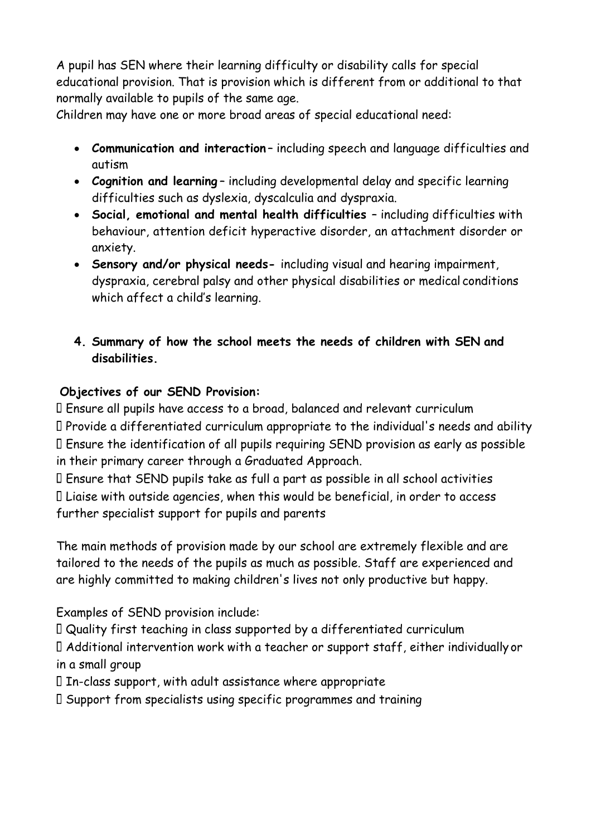A pupil has SEN where their learning difficulty or disability calls for special educational provision. That is provision which is different from or additional to that normally available to pupils of the same age.

Children may have one or more broad areas of special educational need:

- **Communication and interaction** including speech and language difficulties and autism
- **Cognition and learning** including developmental delay and specific learning difficulties such as dyslexia, dyscalculia and dyspraxia.
- **Social, emotional and mental health difficulties**  including difficulties with behaviour, attention deficit hyperactive disorder, an attachment disorder or anxiety.
- **Sensory and/or physical needs-** including visual and hearing impairment, dyspraxia, cerebral palsy and other physical disabilities or medical conditions which affect a child's learning.

# **4. Summary of how the school meets the needs of children with SEN and disabilities.**

# **Objectives of our SEND Provision:**

Ensure all pupils have access to a broad, balanced and relevant curriculum Provide a differentiated curriculum appropriate to the individual's needs and ability Ensure the identification of all pupils requiring SEND provision as early as possible in their primary career through a Graduated Approach.

Ensure that SEND pupils take as full a part as possible in all school activities Liaise with outside agencies, when this would be beneficial, in order to access further specialist support for pupils and parents

The main methods of provision made by our school are extremely flexible and are tailored to the needs of the pupils as much as possible. Staff are experienced and are highly committed to making children's lives not only productive but happy.

Examples of SEND provision include:

Quality first teaching in class supported by a differentiated curriculum

Additional intervention work with a teacher or support staff, either individually or in a small group

 $\Box$  In-class support, with adult assistance where appropriate

Support from specialists using specific programmes and training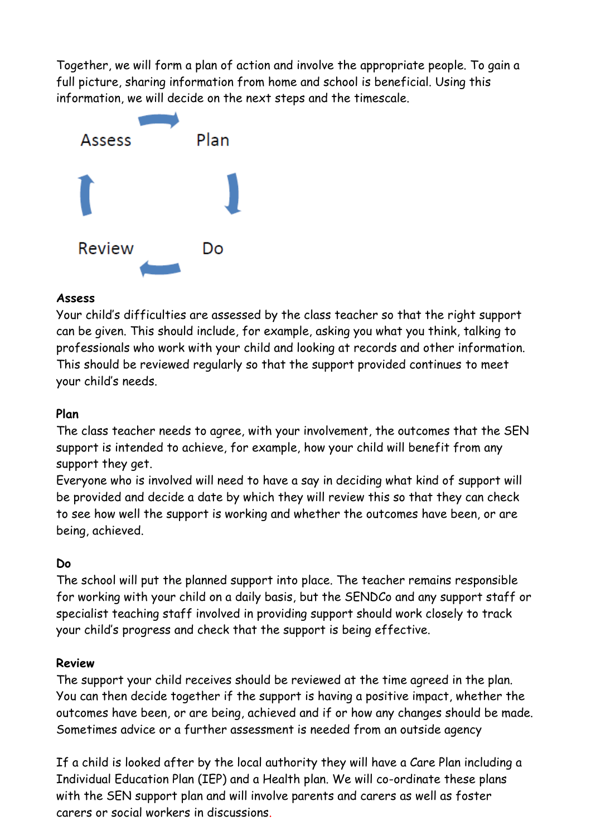Together, we will form a plan of action and involve the appropriate people. To gain a full picture, sharing information from home and school is beneficial. Using this information, we will decide on the next steps and the timescale.



#### **Assess**

Your child's difficulties are assessed by the class teacher so that the right support can be given. This should include, for example, asking you what you think, talking to professionals who work with your child and looking at records and other information. This should be reviewed regularly so that the support provided continues to meet your child's needs.

# **Plan**

The class teacher needs to agree, with your involvement, the outcomes that the SEN support is intended to achieve, for example, how your child will benefit from any support they get.

Everyone who is involved will need to have a say in deciding what kind of support will be provided and decide a date by which they will review this so that they can check to see how well the support is working and whether the outcomes have been, or are being, achieved.

### **Do**

The school will put the planned support into place. The teacher remains responsible for working with your child on a daily basis, but the SENDCo and any support staff or specialist teaching staff involved in providing support should work closely to track your child's progress and check that the support is being effective.

### **Review**

The support your child receives should be reviewed at the time agreed in the plan. You can then decide together if the support is having a positive impact, whether the outcomes have been, or are being, achieved and if or how any changes should be made. Sometimes advice or a further assessment is needed from an outside agency

If a child is looked after by the local authority they will have a Care Plan including a Individual Education Plan (IEP) and a Health plan. We will co-ordinate these plans with the SEN support plan and will involve parents and carers as well as foster carers or social workers in discussions.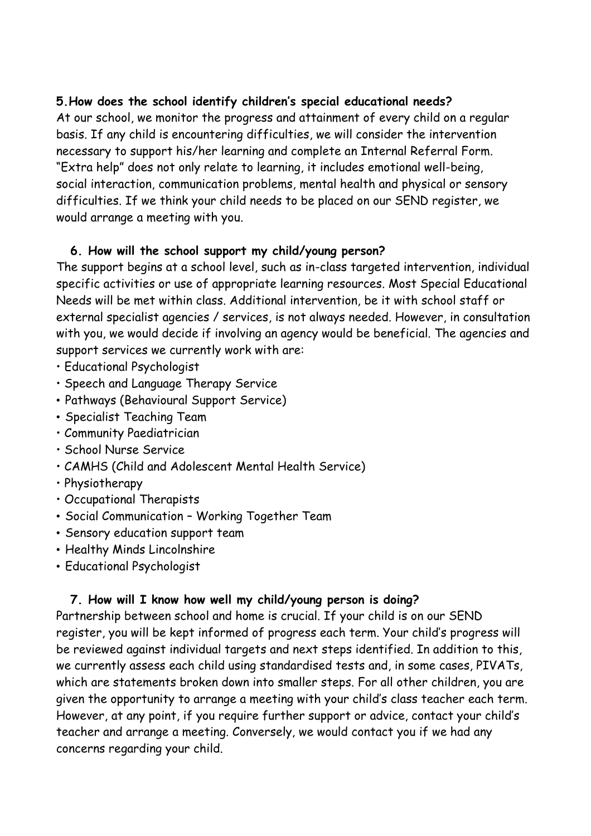### **5.How does the school identify children's special educational needs?**

At our school, we monitor the progress and attainment of every child on a regular basis. If any child is encountering difficulties, we will consider the intervention necessary to support his/her learning and complete an Internal Referral Form. "Extra help" does not only relate to learning, it includes emotional well-being, social interaction, communication problems, mental health and physical or sensory difficulties. If we think your child needs to be placed on our SEND register, we would arrange a meeting with you.

## **6. How will the school support my child/young person?**

The support begins at a school level, such as in-class targeted intervention, individual specific activities or use of appropriate learning resources. Most Special Educational Needs will be met within class. Additional intervention, be it with school staff or external specialist agencies / services, is not always needed. However, in consultation with you, we would decide if involving an agency would be beneficial. The agencies and support services we currently work with are:

- Educational Psychologist
- Speech and Language Therapy Service
- Pathways (Behavioural Support Service)
- Specialist Teaching Team
- Community Paediatrician
- School Nurse Service
- CAMHS (Child and Adolescent Mental Health Service)
- Physiotherapy
- Occupational Therapists
- Social Communication Working Together Team
- Sensory education support team
- Healthy Minds Lincolnshire
- Educational Psychologist

# **7. How will I know how well my child/young person is doing?**

Partnership between school and home is crucial. If your child is on our SEND register, you will be kept informed of progress each term. Your child's progress will be reviewed against individual targets and next steps identified. In addition to this, we currently assess each child using standardised tests and, in some cases, PIVATs, which are statements broken down into smaller steps. For all other children, you are given the opportunity to arrange a meeting with your child's class teacher each term. However, at any point, if you require further support or advice, contact your child's teacher and arrange a meeting. Conversely, we would contact you if we had any concerns regarding your child.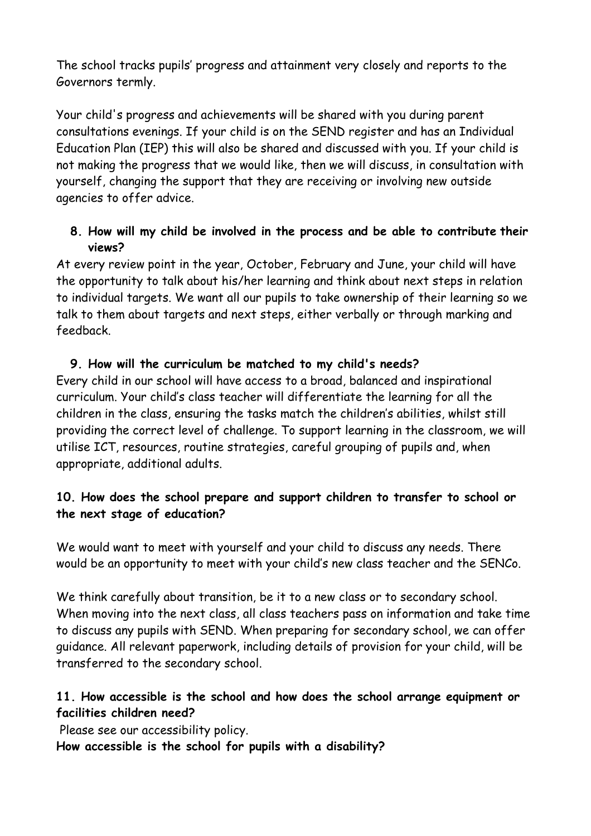The school tracks pupils' progress and attainment very closely and reports to the Governors termly.

Your child's progress and achievements will be shared with you during parent consultations evenings. If your child is on the SEND register and has an Individual Education Plan (IEP) this will also be shared and discussed with you. If your child is not making the progress that we would like, then we will discuss, in consultation with yourself, changing the support that they are receiving or involving new outside agencies to offer advice.

# **8. How will my child be involved in the process and be able to contribute their views?**

At every review point in the year, October, February and June, your child will have the opportunity to talk about his/her learning and think about next steps in relation to individual targets. We want all our pupils to take ownership of their learning so we talk to them about targets and next steps, either verbally or through marking and feedback.

# **9. How will the curriculum be matched to my child's needs?**

Every child in our school will have access to a broad, balanced and inspirational curriculum. Your child's class teacher will differentiate the learning for all the children in the class, ensuring the tasks match the children's abilities, whilst still providing the correct level of challenge. To support learning in the classroom, we will utilise ICT, resources, routine strategies, careful grouping of pupils and, when appropriate, additional adults.

# **10. How does the school prepare and support children to transfer to school or the next stage of education?**

We would want to meet with yourself and your child to discuss any needs. There would be an opportunity to meet with your child's new class teacher and the SENCo.

We think carefully about transition, be it to a new class or to secondary school. When moving into the next class, all class teachers pass on information and take time to discuss any pupils with SEND. When preparing for secondary school, we can offer guidance. All relevant paperwork, including details of provision for your child, will be transferred to the secondary school.

# **11. How accessible is the school and how does the school arrange equipment or facilities children need?**

Please see our accessibility policy.

**How accessible is the school for pupils with a disability?**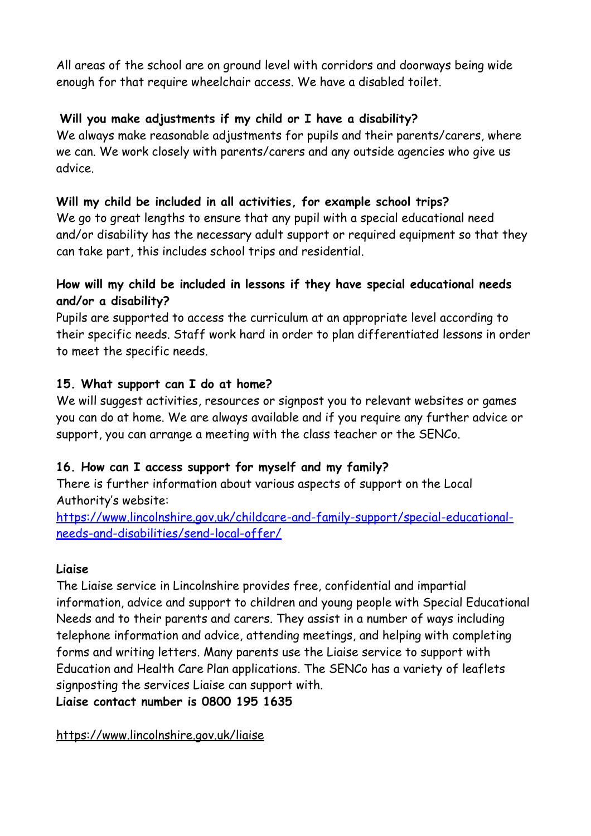All areas of the school are on ground level with corridors and doorways being wide enough for that require wheelchair access. We have a disabled toilet.

# **Will you make adjustments if my child or I have a disability?**

We always make reasonable adjustments for pupils and their parents/carers, where we can. We work closely with parents/carers and any outside agencies who give us advice.

## **Will my child be included in all activities, for example school trips?**

We go to great lengths to ensure that any pupil with a special educational need and/or disability has the necessary adult support or required equipment so that they can take part, this includes school trips and residential.

# **How will my child be included in lessons if they have special educational needs and/or a disability?**

Pupils are supported to access the curriculum at an appropriate level according to their specific needs. Staff work hard in order to plan differentiated lessons in order to meet the specific needs.

### **15. What support can I do at home?**

We will suggest activities, resources or signpost you to relevant websites or games you can do at home. We are always available and if you require any further advice or support, you can arrange a meeting with the class teacher or the SENCo.

### **16. How can I access support for myself and my family?**

There is further information about various aspects of support on the Local Authority's website:

[https://www.lincolnshire.gov.uk/childcare-and-family-support/special-educational](https://www.lincolnshire.gov.uk/childcare-and-family-support/special-educational-needs-and-disabilities/send-local-offer/)[needs-and-disabilities/send-local-offer/](https://www.lincolnshire.gov.uk/childcare-and-family-support/special-educational-needs-and-disabilities/send-local-offer/)

### **Liaise**

The Liaise service in Lincolnshire provides free, confidential and impartial information, advice and support to children and young people with Special Educational Needs and to their parents and carers. They assist in a number of ways including telephone information and advice, attending meetings, and helping with completing forms and writing letters. Many parents use the Liaise service to support with Education and Health Care Plan applications. The SENCo has a variety of leaflets signposting the services Liaise can support with. **Liaise contact number is 0800 195 1635**

<https://www.lincolnshire.gov.uk/liaise>